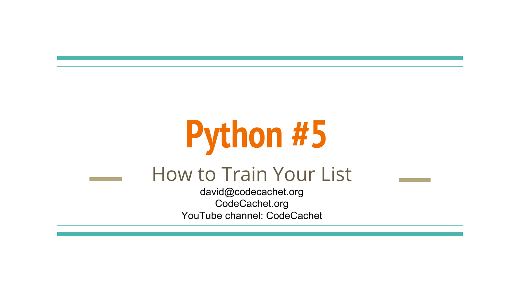# **Python #5**

#### How to Train Your List

david@codecachet.org CodeCachet.org YouTube channel: CodeCachet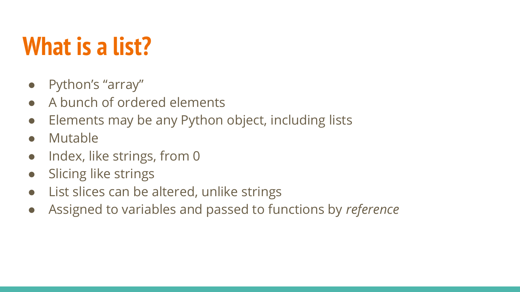## **What is a list?**

- Python's "array"
- A bunch of ordered elements
- Elements may be any Python object, including lists
- Mutable
- Index, like strings, from 0
- Slicing like strings
- List slices can be altered, unlike strings
- Assigned to variables and passed to functions by *reference*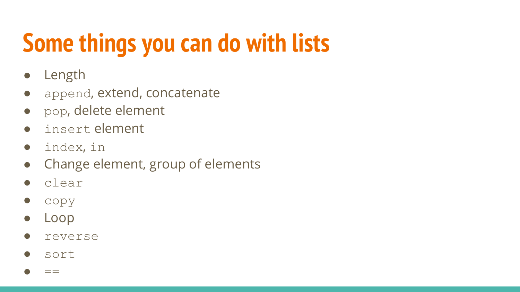# **Some things you can do with lists**

- Length
- append, extend, concatenate
- pop, delete element
- insert element
- index, in
- Change element, group of elements
- clear
- copy
- Loop
- reverse
- sort

 $\bullet$  ==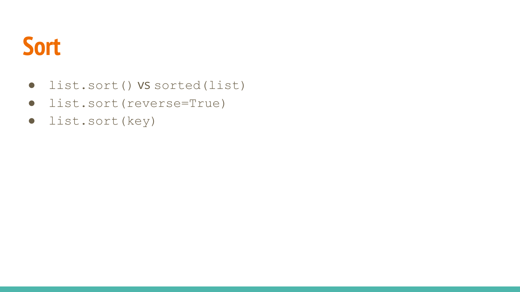

- list.sort() vs sorted(list)
- list.sort(reverse=True)
- list.sort(key)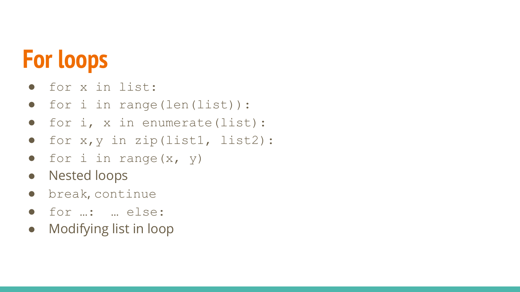# **For loops**

- for x in list:
- for i in range(len(list)):
- for i, x in enumerate(list):
- for x,y in zip(list1, list2):
- $\bullet$  for i in range(x, y)
- Nested loops
- break, continue
- for …: … else:
- Modifying list in loop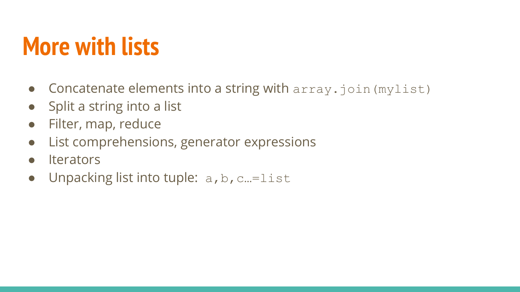## **More with lists**

- Concatenate elements into a string with array.join (mylist)
- Split a string into a list
- Filter, map, reduce
- List comprehensions, generator expressions
- Iterators
- Unpacking list into tuple:  $a, b, c = 1$  ist